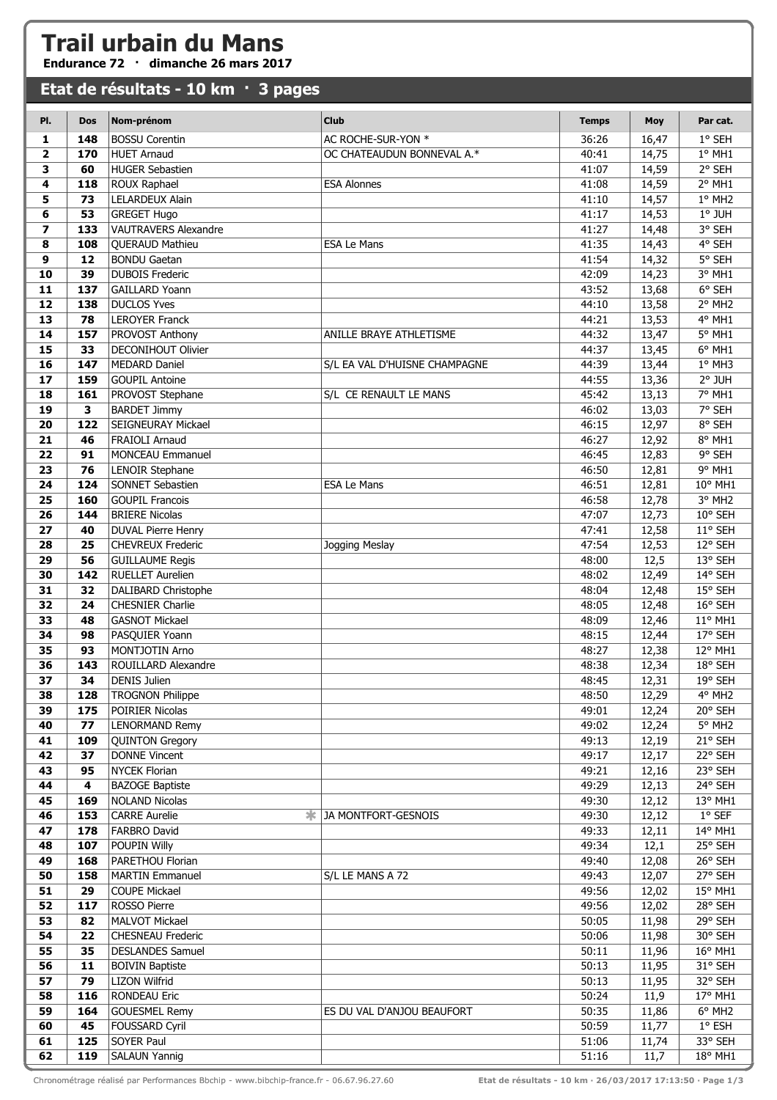## **Trail urbain du Mans**

## **Endurance 72 · dimanche 26 mars 2017 Etat de résultats - 10 km · 3 pages Pl. Dos Nom-prénom Club Temps Moy Par cat. 1 148** BOSSU Corentin **AC ROCHE-SUR-YON \*** 36:26 16,47 1° SEH **2 170** HUET Arnaud **OC CHATEAUDUN BONNEVAL A.\*** 40:41 14.75 1º MH1 **3 60** HUGER Sebastien **11.07 14.59** 2° SEH **4 118** ROUX Raphael ESA Alonnes 41:08 14,59 2° MH1 **5 73** LELARDEUX Alain 41:10 14,57 1° MH2 **6 53** GREGET Hugo 41:17 14,53 1° JUH **7 133** VAUTRAVERS Alexandre **12.133** AUTRAVERS Alexandre **12.133** AUTRAVERS Alexandre **8** 108 QUERAUD Mathieu ESA Le Mans **ESA Le Mans** 41:35 14,43 4° SEH **9 12** BONDU Gaetan 41:54 14,32 5° SEH **10 39** DUBOIS Frederic **10 14,23** 3° MH1 **11 | 137** GAILLARD Yoann **43:52 | 13,68 | 43:52 | 13,68 | 43:52 | 13,68 | 43:52 | 13,68 | 43:52 | 43:52 | 13,68 | 43:52 | 13,68 | 43:52 | 13,68 | 43:52 | 13,68 | 43:52 | 13,68 | 43:52 | 13,68 | 43:52 | 13,68 | 43:52 | 13, 12 138** DUCLOS Yves 44:10 13,58 2° MH2 **13 78** LEROYER Franck **13 13,53** 4° MH1 **14 157** PROVOST Anthony ANILLE BRAYE ATHLETISME 44:32 13,47 5° MH1 **15 33** DECONIHOUT Olivier **15 13,45 6° MH1 16 147** MEDARD Daniel S/L EA VAL D'HUISNE CHAMPAGNE 44:39 13,44 1° MH3 **17 159** GOUPIL Antoine **17 159** GOUPIL Antoine **18 161 PROVOST Stephane** 46:55 13,36 12° JUH **18 161** PROVOST Stephane S/L CE RENAULT LE MANS 45:42 13,13 7° MH1<br> **19 3** BARDET Jimmy 46:02 13,03 7° SEH **19 3** BARDET Jimmy 46:02 13,03 7° SEH **20 122** SEIGNEURAY Mickael 46:15 12,97 8° SEH **21 46** FRAIOLI Arnaud 46:27 12,92 8° MH1 **22 91** MONCEAU Emmanuel 46:45 12,83 9° SEH **23 76** LENOIR Stephane 46:50 12,81 9° MH1 **24 124** SONNET Sebastien ESA Le Mans 46:51 12,81 10° MH1 **25 160** GOUPIL Francois 46:58 12,78 3° MH2 **26 144** BRIERE Nicolas 47:07 12,73 10° SEH **27 40** DUVAL Pierre Henry **12,58 11° SEH 28 25** CHEVREUX Frederic Jogging Meslay 12,53 12° SEH **29 56** GUILLAUME Regis 48:00 12,5 13° SEH **30 142** RUELLET Aurelien **142 RUELLET Aurelien** 148:02 12,49 14° SEH **31 32** DALIBARD Christophe 48:04 12,48 15° SEH **32 24 CHESNIER Charlie 48:05 12,48 16° SEH 33 48** GASNOT Mickael 48:09 12,46 11° MH1 **34 98** PASQUIER Yoann 48:15 12,44 17° SEH **35 93** MONTJOTIN Arno 48:27 12,38 12° MH1 **36 143** ROUILLARD Alexandre 48:38 12,34 18° SEH **37 34** DENIS Julien 48:45 12,31 19° SEH **38 128** TROGNON Philippe 48:50 12,29 4° MH2 **39 175** POIRIER Nicolas 49:01 12,24 20° SEH **40 77** LENORMAND Remy 49:02 12,24 5° MH2 **41 109** QUINTON Gregory 49:13 12,19 21° SEH **42 37** DONNE Vincent 49:17 12,17 22° SEH **43 95** NYCEK Florian 49:21 12,16 23° SEH **44 4** BAZOGE Baptiste 49:29 12,13 24° SEH **45 169** NOLAND Nicolas 49:30 12,12 13° MH1 **46 | 153** | CARRE Aurelie | Note | Montrort-GESNOIS | 49:30 | 12,12 | 1º SEF **47 178** FARBRO David 49:33 12,11 14° MH1 **48 107** POUPIN Willy 49:34 12,1 25° SEH **49 | 168** PARETHOU Florian **188 | ARETHOU Florian 189 | ASSEMBLIC CONTRACT 120 | ASSEMBLIC CONTRACT 12,08 | 26° SEH 50 158** MARTIN Emmanuel S/L LE MANS A 72 49:43 12,07 27° SEH

**51 29** COUPE Mickael 49:56 12,02 15° MH1 **52 | 117** | ROSSO Pierre 49:56 | 12,02 | 28° SEH **53 82** MALVOT Mickael 50:05 11,98 29° SEH **54 22** CHESNEAU Frederic **50:06** 11,98 30° SEH **55 35** DESLANDES Samuel 50:11 11,96 16° MH1<br> **56 11** BOIVIN Baotiste 50:13 11,95 31° SEH **56 11** BOIVIN Baptiste 50:13 11,95 31° SEH **57 79** LIZON Wilfrid **11,95 12 SEH 58 116** RONDEAU Eric 50:24 11,9 17° MH1 **59 164** GOUESMEL Remy ES DU VAL D'ANJOU BEAUFORT 50:35 11,86 6° MH2 **60 45** FOUSSARD Cyril **60 11,77** 1<sup>o</sup> ESH **61 | 125** SOYER Paul **51:06 | 11,74 | 33° SEH 62 119** SALAUN Yannig **11.4** SALAUN Yannig 11,7 18° MH1

Chronométrage réalisé par Performances Bbchip - www.bibchip-france.fr - 06.67.96.27.60 **Etat de résultats - 10 km · 26/03/2017 17:13:50 · Page 1/3**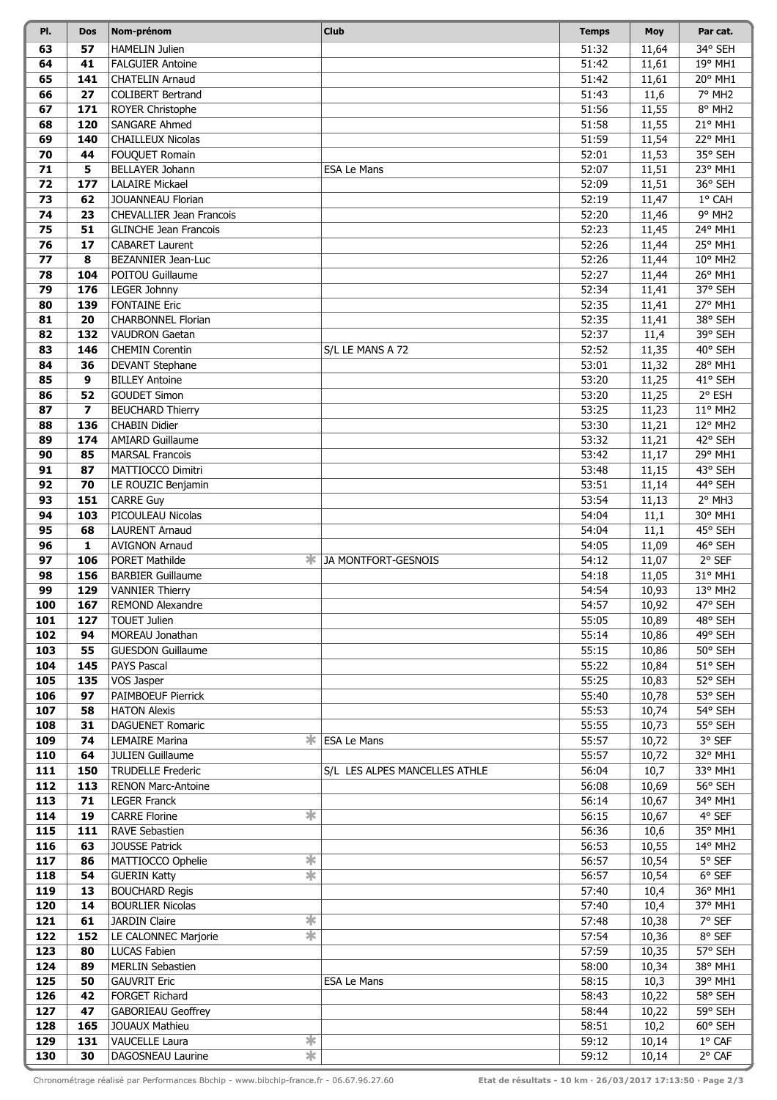| PI.        | <b>Dos</b>              | Nom-prénom                                | <b>Club</b>                            | <b>Temps</b>   | Moy   | Par cat.           |
|------------|-------------------------|-------------------------------------------|----------------------------------------|----------------|-------|--------------------|
| 63         | 57                      | <b>HAMELIN Julien</b>                     |                                        | 51:32          | 11,64 | 34° SEH            |
| 64         | 41                      | <b>FALGUIER Antoine</b>                   |                                        | 51:42          | 11,61 | 19° MH1            |
| 65         | 141                     | <b>CHATELIN Arnaud</b>                    |                                        | 51:42          | 11,61 | 20° MH1            |
|            |                         |                                           |                                        |                |       | 7° MH2             |
| 66         | 27                      | <b>COLIBERT Bertrand</b>                  |                                        | 51:43          | 11,6  |                    |
| 67         | 171                     | ROYER Christophe                          |                                        | 51:56          | 11,55 | 8° MH2             |
| 68         | 120                     | SANGARE Ahmed                             |                                        | 51:58          | 11,55 | 21° MH1            |
| 69         | 140                     | <b>CHAILLEUX Nicolas</b>                  |                                        | 51:59          | 11,54 | 22° MH1            |
| 70         | 44                      | FOUQUET Romain                            |                                        | 52:01          | 11,53 | 35° SEH            |
| 71         | 5                       | <b>BELLAYER Johann</b>                    | <b>ESA Le Mans</b>                     | 52:07          | 11,51 | 23° MH1            |
| 72         | 177                     | <b>LALAIRE Mickael</b>                    |                                        | 52:09          | 11,51 | 36° SEH            |
| 73         | 62                      | <b>JOUANNEAU Florian</b>                  |                                        | 52:19          | 11,47 | 1° CAH             |
| 74         | 23                      | <b>CHEVALLIER Jean Francois</b>           |                                        | 52:20          | 11,46 | 9° MH2             |
| 75         | 51                      | <b>GLINCHE Jean Francois</b>              |                                        | 52:23          | 11,45 | 24° MH1            |
| 76         |                         |                                           |                                        |                |       | 25° MH1            |
|            | 17                      | <b>CABARET Laurent</b>                    |                                        | 52:26          | 11,44 |                    |
| 77         | 8                       | <b>BEZANNIER Jean-Luc</b>                 |                                        | 52:26          | 11,44 | 10° MH2            |
| 78         | 104                     | POITOU Guillaume                          |                                        | 52:27          | 11,44 | 26° MH1            |
| 79         | 176                     | <b>LEGER Johnny</b>                       |                                        | 52:34          | 11,41 | 37° SEH            |
| 80         | 139                     | <b>FONTAINE Eric</b>                      |                                        | 52:35          | 11,41 | 27° MH1            |
| 81         | 20                      | <b>CHARBONNEL Florian</b>                 |                                        | 52:35          | 11,41 | 38° SEH            |
| 82         | 132                     | <b>VAUDRON Gaetan</b>                     |                                        | 52:37          | 11,4  | 39° SEH            |
| 83         | 146                     | <b>CHEMIN Corentin</b>                    | S/L LE MANS A 72                       | 52:52          | 11,35 | 40° SEH            |
| 84         | 36                      | <b>DEVANT Stephane</b>                    |                                        | 53:01          | 11,32 | 28° MH1            |
| 85         | 9                       | <b>BILLEY Antoine</b>                     |                                        | 53:20          | 11,25 | 41° SEH            |
| 86         | 52                      | <b>GOUDET Simon</b>                       |                                        | 53:20          | 11,25 | 2° ESH             |
|            |                         |                                           |                                        |                |       |                    |
| 87         | $\overline{\mathbf{z}}$ | <b>BEUCHARD Thierry</b>                   |                                        | 53:25          | 11,23 | 11° MH2            |
| 88         | 136                     | <b>CHABIN Didier</b>                      |                                        | 53:30          | 11,21 | 12° MH2            |
| 89         | 174                     | <b>AMIARD Guillaume</b>                   |                                        | 53:32          | 11,21 | 42° SEH            |
| 90         | 85                      | <b>MARSAL Francois</b>                    |                                        | 53:42          | 11,17 | 29° MH1            |
| 91         | 87                      | MATTIOCCO Dimitri                         |                                        | 53:48          | 11,15 | 43° SEH            |
| 92         | 70                      | LE ROUZIC Benjamin                        |                                        | 53:51          | 11,14 | 44° SEH            |
| 93         | 151                     | <b>CARRE Guy</b>                          |                                        | 53:54          | 11,13 | 2° MH3             |
| 94         | 103                     | PICOULEAU Nicolas                         |                                        | 54:04          | 11,1  | 30° MH1            |
| 95         | 68                      | <b>LAURENT Arnaud</b>                     |                                        | 54:04          | 11,1  | 45° SEH            |
| 96         | $\mathbf{1}$            | <b>AVIGNON Arnaud</b>                     |                                        | 54:05          | 11,09 | 46° SEH            |
| 97         | 106                     | <b>PORET Mathilde</b>                     | <b><del></del> JA MONTFORT-GESNOIS</b> | 54:12          | 11,07 | 2° SEF             |
| 98         | 156                     | <b>BARBIER Guillaume</b>                  |                                        | 54:18          | 11,05 | 31° MH1            |
| 99         | 129                     | <b>VANNIER Thierry</b>                    |                                        | 54:54          |       | 13° MH2            |
|            |                         |                                           |                                        |                | 10,93 |                    |
| 100        | 167                     | REMOND Alexandre                          |                                        | 54:57          | 10,92 | 47° SEH            |
| 101        | 127                     | <b>TOUET Julien</b>                       |                                        | 55:05          | 10,89 | 48° SEH            |
| 102        | 94                      | MOREAU Jonathan                           |                                        | 55:14          | 10,86 | 49° SEH            |
| 103        | 55                      | <b>GUESDON Guillaume</b>                  |                                        | 55:15          | 10,86 | 50° SEH            |
| 104        | 145                     | <b>PAYS Pascal</b>                        |                                        | 55:22          | 10,84 | 51° SEH            |
| 105        | 135                     | VOS Jasper                                |                                        | 55:25          | 10,83 | 52° SEH            |
| 106        | 97                      | PAIMBOEUF Pierrick                        |                                        | 55:40          | 10,78 | 53° SEH            |
| 107        | 58                      | <b>HATON Alexis</b>                       |                                        | 55:53          | 10,74 | 54° SEH            |
| 108        | 31                      | <b>DAGUENET Romaric</b>                   |                                        | 55:55          | 10,73 | 55° SEH            |
| 109        | 74                      | <b>LEMAIRE Marina</b><br>ж                | <b>ESA Le Mans</b>                     | 55:57          | 10,72 | 3° SEF             |
| 110        | 64                      | <b>JULIEN Guillaume</b>                   |                                        | 55:57          | 10,72 | 32° MH1            |
| 111        | 150                     | <b>TRUDELLE Frederic</b>                  | S/L LES ALPES MANCELLES ATHLE          | 56:04          | 10,7  | 33° MH1            |
|            |                         |                                           |                                        |                |       |                    |
| 112<br>113 | 113<br>71               | <b>RENON Marc-Antoine</b>                 |                                        | 56:08<br>56:14 | 10,69 | 56° SEH<br>34° MH1 |
|            |                         | <b>LEGER Franck</b>                       |                                        |                | 10,67 |                    |
| 114        | 19                      | ☀<br><b>CARRE Florine</b>                 |                                        | 56:15          | 10,67 | 4° SEF             |
| 115        | 111                     | <b>RAVE Sebastien</b>                     |                                        | 56:36          | 10,6  | 35° MH1            |
| 116        | 63                      | JOUSSE Patrick                            |                                        | 56:53          | 10,55 | 14° MH2            |
| 117        | 86                      | $\ddot{\ast}$<br>MATTIOCCO Ophelie        |                                        | 56:57          | 10,54 | 5° SEF             |
| 118        | 54                      | $\overline{\ast}$<br><b>GUERIN Katty</b>  |                                        | 56:57          | 10,54 | $6°$ SEF           |
| 119        | 13                      | <b>BOUCHARD Regis</b>                     |                                        | 57:40          | 10,4  | 36° MH1            |
| 120        | 14                      | <b>BOURLIER Nicolas</b>                   |                                        | 57:40          | 10,4  | 37° MH1            |
| 121        | 61                      | $\ast$<br><b>JARDIN Claire</b>            |                                        | 57:48          | 10,38 | 7° SEF             |
| 122        | 152                     | $\overline{\ast}$<br>LE CALONNEC Marjorie |                                        | 57:54          | 10,36 | 8° SEF             |
| 123        | 80                      | <b>LUCAS Fabien</b>                       |                                        | 57:59          | 10,35 | 57° SEH            |
| 124        | 89                      | <b>MERLIN Sebastien</b>                   |                                        | 58:00          |       | 38° MH1            |
|            |                         |                                           |                                        |                | 10,34 |                    |
| 125        | 50                      | <b>GAUVRIT Eric</b>                       | <b>ESA Le Mans</b>                     | 58:15          | 10,3  | 39° MH1            |
| 126        | 42                      | FORGET Richard                            |                                        | 58:43          | 10,22 | 58° SEH            |
| 127        | 47                      | <b>GABORIEAU Geoffrey</b>                 |                                        | 58:44          | 10,22 | 59° SEH            |
| 128        | 165                     | <b>JOUAUX Mathieu</b>                     |                                        | 58:51          | 10,2  | 60° SEH            |
| 129        | 131                     | ☀<br><b>VAUCELLE Laura</b>                |                                        | 59:12          | 10,14 | $1^{\circ}$ CAF    |
| 130        | 30                      | $\overline{\ast}$<br>DAGOSNEAU Laurine    |                                        | 59:12          | 10,14 | 2° CAF             |

Chronométrage réalisé par Performances Bbchip - www.bibchip-france.fr - 06.67.96.27.60 **Etat de résultats - 10 km · 26/03/2017 17:13:50 · Page 2/3**